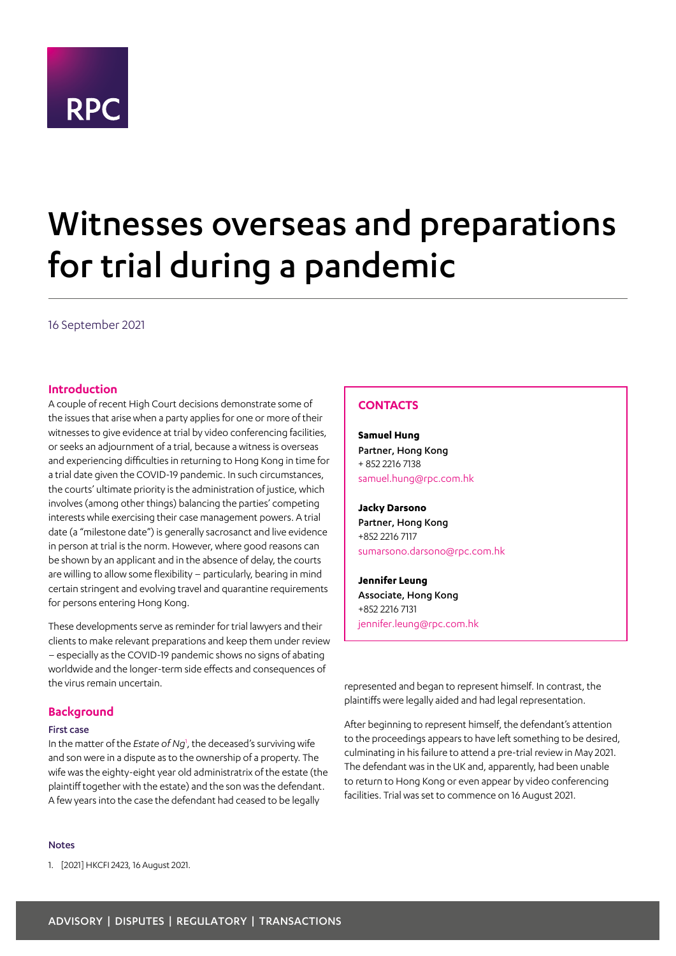<span id="page-0-1"></span>

# Witnesses overseas and preparations for trial during a pandemic

16 September 2021

### **Introduction**

A couple of recent High Court decisions demonstrate some of the issues that arise when a party applies for one or more of their witnesses to give evidence at trial by video conferencing facilities, or seeks an adjournment of a trial, because a witness is overseas and experiencing difficulties in returning to Hong Kong in time for a trial date given the COVID-19 pandemic. In such circumstances, the courts' ultimate priority is the administration of justice, which involves (among other things) balancing the parties' competing interests while exercising their case management powers. A trial date (a "milestone date") is generally sacrosanct and live evidence in person at trial is the norm. However, where good reasons can be shown by an applicant and in the absence of delay, the courts are willing to allow some flexibility – particularly, bearing in mind certain stringent and evolving travel and quarantine requirements for persons entering Hong Kong.

These developments serve as reminder for trial lawyers and their clients to make relevant preparations and keep them under review – especially as the COVID-19 pandemic shows no signs of abating worldwide and the longer-term side effects and consequences of the virus remain uncertain.

# **Background**

#### First case

In the matter of the *Estate of Ng*[1](#page-0-0) , the deceased's surviving wife and son were in a dispute as to the ownership of a property. The wife was the eighty-eight year old administratrix of the estate (the plaintiff together with the estate) and the son was the defendant. A few years into the case the defendant had ceased to be legally

# Notes

<span id="page-0-0"></span>1. [2021] HKCFI 2423, 16 August 2021.

# **CONTACTS**

**Samuel Hung** Partner, Hong Kong + 852 2216 7138 samuel.hung@rpc.com.hk

**Jacky Darsono** Partner, Hong Kong +852 2216 7117 sumarsono.darsono@rpc.com.hk

**Jennifer Leung** Associate, Hong Kong +852 2216 7131 jennifer.leung@rpc.com.hk

represented and began to represent himself. In contrast, the plaintiffs were legally aided and had legal representation.

After beginning to represent himself, the defendant's attention to the proceedings appears to have left something to be desired, culminating in his failure to attend a pre-trial review in May 2021. The defendant was in the UK and, apparently, had been unable to return to Hong Kong or even appear by video conferencing facilities. Trial was set to commence on 16 August 2021.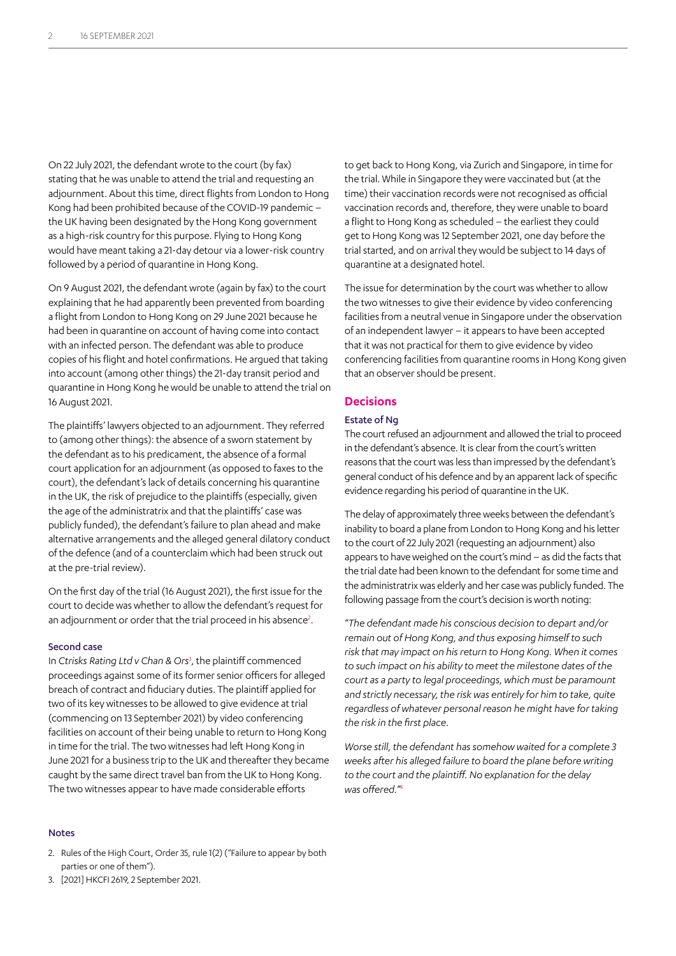On 22 July 2021, the defendant wrote to the court (by fax) stating that he was unable to attend the trial and requesting an adjournment. About this time, direct flights from London to Hong Kong had been prohibited because of the COVID-19 pandemic – the UK having been designated by the Hong Kong government as a high-risk country for this purpose. Flying to Hong Kong would have meant taking a 21-day detour via a lower-risk country followed by a period of quarantine in Hong Kong.

On 9 August 2021, the defendant wrote (again by fax) to the court explaining that he had apparently been prevented from boarding a flight from London to Hong Kong on 29 June 2021 because he had been in quarantine on account of having come into contact with an infected person. The defendant was able to produce copies of his flight and hotel confirmations. He argued that taking into account (among other things) the 21-day transit period and quarantine in Hong Kong he would be unable to attend the trial on 16 August 2021.

The plaintiffs' lawyers objected to an adjournment. They referred to (among other things): the absence of a sworn statement by the defendant as to his predicament, the absence of a formal court application for an adjournment (as opposed to faxes to the court), the defendant's lack of details concerning his quarantine in the UK, the risk of prejudice to the plaintiffs (especially, given the age of the administratrix and that the plaintiffs' case was publicly funded), the defendant's failure to plan ahead and make alternative arrangements and the alleged general dilatory conduct of the defence (and of a counterclaim which had been struck out at the pre-trial review).

On the first day of the trial (16 August 2021), the first issue for the court to decide was whether to allow the defendant's request for an adjournment or order that the trial proceed in his absence<sup>2</sup>.

#### Second case

In *Ctrisks Rating Ltd v Chan & Ors*[3](#page-1-0) , the plaintiff commenced proceedings against some of its former senior officers for alleged breach of contract and fiduciary duties. The plaintiff applied for two of its key witnesses to be allowed to give evidence at trial (commencing on 13 September 2021) by video conferencing facilities on account of their being unable to return to Hong Kong in time for the trial. The two witnesses had left Hong Kong in June 2021 for a business trip to the UK and thereafter they became caught by the same direct travel ban from the UK to Hong Kong. The two witnesses appear to have made considerable efforts

to get back to Hong Kong, via Zurich and Singapore, in time for the trial. While in Singapore they were vaccinated but (at the time) their vaccination records were not recognised as official vaccination records and, therefore, they were unable to board a flight to Hong Kong as scheduled – the earliest they could get to Hong Kong was 12 September 2021, one day before the trial started, and on arrival they would be subject to 14 days of quarantine at a designated hotel.

The issue for determination by the court was whether to allow the two witnesses to give their evidence by video conferencing facilities from a neutral venue in Singapore under the observation of an independent lawyer – it appears to have been accepted that it was not practical for them to give evidence by video conferencing facilities from quarantine rooms in Hong Kong given that an observer should be present.

#### **Decisions**

#### Estate of Ng

The court refused an adjournment and allowed the trial to proceed in the defendant's absence. It is clear from the court's written reasons that the court was less than impressed by the defendant's general conduct of his defence and by an apparent lack of specific evidence regarding his period of quarantine in the UK.

The delay of approximately three weeks between the defendant's inability to board a plane from London to Hong Kong and his letter to the court of 22 July 2021 (requesting an adjournment) also appears to have weighed on the court's mind – as did the facts that the trial date had been known to the defendant for some time and the administratrix was elderly and her case was publicly funded. The following passage from the court's decision is worth noting:

"*The defendant made his conscious decision to depart and/or remain out of Hong Kong, and thus exposing himself to such risk that may impact on his return to Hong Kong. When it comes to such impact on his ability to meet the milestone dates of the court as a party to legal proceedings, which must be paramount and strictly necessary, the risk was entirely for him to take, quite regardless of whatever personal reason he might have for taking the risk in the first place.*

*Worse still, the defendant has somehow waited for a complete 3 weeks after his alleged failure to board the plane before writing to the court and the plaintiff. No explanation for the delay was offered.*" [4](#page-2-0)

#### Notes

- 2. Rules of the High Court, Order 35, rule 1(2) ("Failure to appear by both parties or one of them").
- <span id="page-1-0"></span>3. [2021] HKCFI 2619, 2 September 2021.